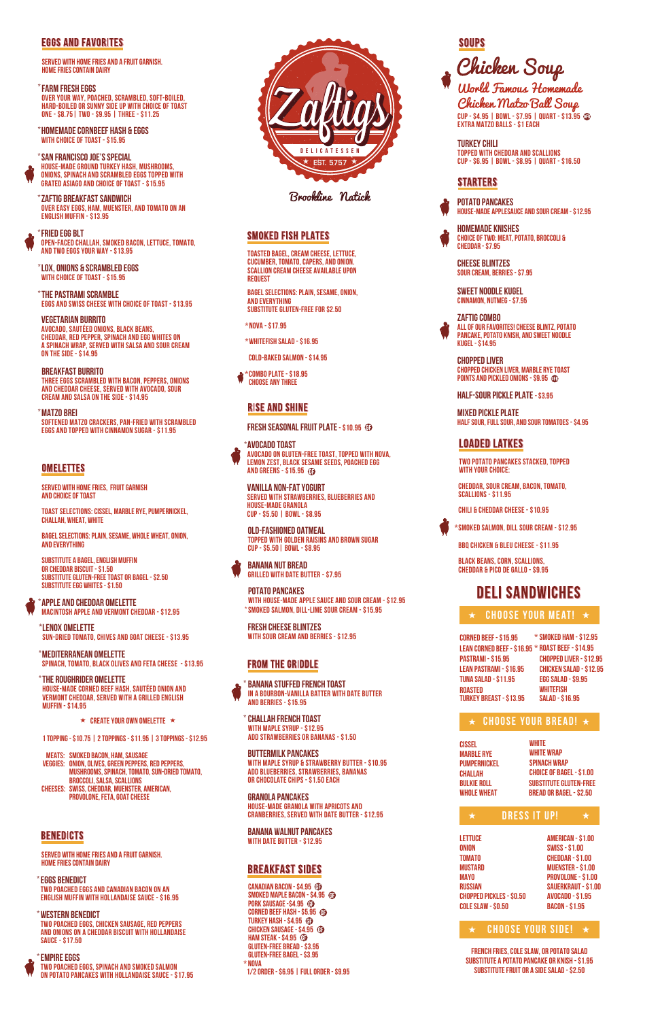

Brookline Natick

### **SMOKED FISH PLATES**

### **EGGS AND FAVORITES**

**served with home fries and a fruit garnish. Home fries contain dairy**

**BREAKFAST BURRITO Three eggs scrambled with bacon, peppers, onions and cheddar cheese, served with avocado, sour cream and salsa on the side - \$14.95**

#### **MATZO BREI \***

**SOFTENed MATZO CRACKERS, PAN-FRIED WITH SCRAMBLED EGGS AND TOPPED WITH CINnAMON SUGAR - \$11.95**

### **OMELETTES**

**Zaftig Breakfast sandwich \* OVER EASY EGGS, HAM, MUENSTER, and TOMATO ON AN ENGLISH MUFFIN - \$13.95**

**THE PASTRAMI SCRAMBLE \* EGGS and SWISS CHEESE with choice of toast - \$13.95**

**SAN FRANCISCO JOE's SPECIAL \* House-made ground turkey hash, mushrooms, onions, spinach and scrambled eggs topped with grated asiago and choice of toast - \$15.95**

**FRIED EGG BLT \* open-faced challah, smoked bacon, lettuce, tomato, and two eggs your way - \$13.95** 

#### **Vegetarian Burrito**

**Avocado, Sautéed onions, black beans, cheddar, red pepper, spinach and egg whites on a spinach wrap, served with salsa and sour cream on the side - \$14.95** 

**FARM FRESH EGGS \* Over your way, poached, scrambled, soft-boiled, hard-boiled or sunny side up with choice of toast one - \$8.75| two - \$9.95 | three - \$11.25**

**HOMEMADE CORNBEEF HASH & EGGS \* with choice of toast - \$15.95**

**LOX, ONIONS & SCRAMBLED EGGS \* with choice of toast - \$15.95**

> **Buttermilk Pancakes with maple syrup & strawberry butter - \$10.95 add blueberries, strawberries, bananas or chocolate chips - \$1.50 EACH**

**Granola Pancakes House-made Granola with Apricots and Cranberries, served with Date butter - \$12.95**

**Banana Walnut Pancakes with Date Butter - \$12.95**

### **BREAKFAST SIDES**

**Banana Stuffed French Toast In a bourbon-vanilla batter with date butter and berries - \$15.95 \***

**Challah French Toast \* with maple syrup - \$12.95 Add strawberries or bananas - \$1.50**

## **SOUPS**



**served with home fries and a fruit garnish. Home fries contain dairy**

#### **EMPIRE EGGS \* Two poached eggs, spinach and smoked salmon on potato pancakes with hollandaise sauce - \$17.95**

**EGGS BENEDICT \* Two poached eggs and canadian bacon on an english muffin with hollandaise sauce - \$16.95** 

**DGURT Served with strawberries, blueberries and house-made granola cup - \$5.50 | bowl - \$8.95**

**western BENEDICT \* two poached eggs, chicken sausage, red peppers and onions on a cheddar biscuit with hollandaise sauce - \$17.50**

**served with home fries, fruit garnish and choice of toast**

**toast selections: Cissel, Marble Rye, Pumpernickel, Challah, Wheat, White**

**substitute a Bagel, english muffin or cheddar biscuit - \$1.50 substitute gluten-free toast or bagel - \$2.50 substitute egg whites - \$1.50**

**Bagel Selections: Plain, sesame, WHOLE WHEAT, ONION, AND EVERYTHING**

**smoked bacon, ham, sausage Meats: onion, olives, green peppers, red peppers, Veggies: mushrooms, spinach, tomato, sun-dried tomato, broccoli, salsa, scallions Swiss, cheddar, muenster, American, Cheeses: provolone, feta, goat cheese**

**BENEDICTS** 

Chicken Matzo Ball Soup **CUP - \$4.95 | BOWL - \$7.95 | QUART - \$13.95 extra matzo balls - \$1 each**

**1 topping - \$10.75 | 2 toppings - \$11.95 | 3 toppings - \$12.95**

**ApplE and Cheddar OmelettE \* Macintosh Apple and Vermont Cheddar - \$12.95**

**Spinach, tomato, black olives and feta cheese - \$13.95 Mediterranean Omelette \***

**Sun-dried tomato, chives and goat cheese - \$13.95 Lenox Omelette \***

**The Roughrider Omelette \* House-made corned beef hash, sautéed onion and vermont cheddar, served with a grilled english muffin - \$14.95**

**★ CREATE YOUR OWN OMELETTE ★** 

**Toasted Bagel, cream cheese, lettuce, cucumber, tomato, capers, and onion. scallion cream cheese available upon request**

**Bagel selections: plain, sesame, onion, and everything substitute gluten-free for \$2.50**

**Cold-Baked Salmon - \$14.95** 

**\*Nova - \$17.95**

**\*Whitefish Salad - \$16.95**

**Choose any three \*Combo Plate - \$18.95** 

### **RISE AND SHINE**

**FRESH SEASONAL FRUIT PLATE - \$10.95 <sup>6</sup>** 

**Canadian Bacon - \$4.95 Smoked Maple Bacon - \$4.95 Pork Sausage -\$4.95 1/2 order - \$6.95 | Full order - \$9.95 \* Nova Gluten-Free Bread - \$3.95 Gluten-Free Bagel - \$3.95 Chicken Sausage - \$4.95 Ham Steak - \$4.95 Corned Beef Hash - \$5.95 Turkey Hash - \$4.95** 

**POTATO PANCAKES with house-made apple sauce and sour cream - \$12.95 smoked salmon, dill-lime sour cream - \$15.95 \***

**Old-Fashioned Oatmeal Topped with golden raisins and brown sugar cup - \$5.50| Bowl - \$8.95**

**Banana Nut Bread Grilled with Date Butter - \$7.95**

# **\*avocado toast**

**REE TOAST, TOPPED WITH NOVA, LEMON SEEDS, POACHED EGG**  $\bigoplus$ 

| Ł<br>N | AVULADU TUAST<br><b>AVOCADO ON GLUTEN-F</b><br>LEMON ZEST. BLACK SE<br><b>AND GREENS - \$15.95</b> |
|--------|----------------------------------------------------------------------------------------------------|
|        | VANILLA NON-FAT Y(<br><b>CERVEN WITH CTRAWRE</b>                                                   |

**Fresh Cheese Blintzes with sour cream and berries - \$12.95**

### FROM THE GRIDDLE

**CHEESE BLINTZES SOUR CREAM, BERRIES - \$7.95**

**SWEET NOODLE KUGEL CINNAMON, NUTMEG - \$7.95**



**Homemade KNISHES CHOICE OF TWO: MEAT, POTATO, BROCCOLI & CHEDDAR - \$7.95** 

**ZAFTIG COMBO ALL OF OUR FAVORITES! CHEESE BLINTZ, POTATO PANCAKE, potato knish, and sweet noodle Kugel - \$14.95**

**half-sour pickle plate - \$3.95**

**mixed pickle plate half sour, full sour, and sour tomatoes - \$4.95**

### **LOADED LATKES**

**CHOPPED LIVER Chopped Chicken Liver, Marble Rye Toast Points and Pickled Onions - \$9.95**

**TWO POTATO PANCAKES STACKED, TOPPED WITH YOUR CHOICE:**

**CHEDDAR, SOUR CREAM, BACON, TOMATO, SCALLIONS - \$11.95**

**CHILI & CHEDDAR CHEESE - \$10.95**

**BBQ Chicken & Bleu Cheese - \$11.95**

**Black beans, corn, scallions, cheddar & pico de Gallo - \$9.95**

# **DELI SANDWICHES**

**\*SMOKED SALMON, DILL SOUR CREAM - \$12.95**

**turkey CHILI TOPPED WITH CHEDDAR AND scallions CUP - \$6.95 | BOWL - \$8.95 | QUART - \$16.50**

### **STARTERS**

**white**

**onion tomato mustard mayo russian**

**Chopped pickles - \$0.50 cole slaw - \$0.50 american - \$1.00 swiss - \$1.00 cheddar - \$1.00 muenster - \$1.00 provolone - \$1.00 sauerkraut - \$1.00 avocado - \$1.95 bacon - \$1.95**

**Corned Beef - \$15.95 Lean Corned Beef - \$16.95 \* roast beef - \$14.95 PASTRAMI - \$15.95 LEan PAstrami - \$16.95 roasted Turkey Breast - \$13.95 TUNA SALAD - \$11.95 Chopped Liver - \$12.95 CHICKEN SALAD - \$12.95 EGG SALAD - \$9.95 \*SMoked Ham - \$12.95 whitefish salad - \$16.95**

| <b>CISSEL</b><br><b>MARBLE RYE</b><br><b>PUMPERNICKEL</b><br><b>CHALLAH</b><br><b>BULKIE ROLL</b><br><b><i>WHOLE WHEAT</i></b> | <b>WHITE</b><br><b>WHITE WRAP</b><br><b>SPINACH WRAP</b><br><b>CHOICE OF BAGEL - \$1.00</b><br><b>SUBSTITUTE GLUTEN-FREE</b><br><b>BREAD OR BAGEL - \$2.50</b> |  |  |                          |
|--------------------------------------------------------------------------------------------------------------------------------|----------------------------------------------------------------------------------------------------------------------------------------------------------------|--|--|--------------------------|
| $\star$                                                                                                                        | <b>DRESS IT UP!</b>                                                                                                                                            |  |  |                          |
| <b>LETTUCE</b>                                                                                                                 |                                                                                                                                                                |  |  | <b>AMERICAN - \$1.00</b> |

**french fries, cole slaw, or potato salad substitute a potato pancake or knish - \$1.95 substitute fruit or a side salad - \$2.50**

### **choose your meat!**

### **choose your bread!**

### **choose your side!**